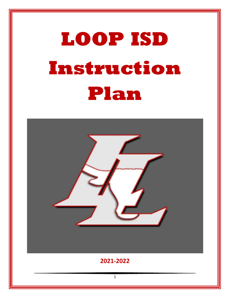# **LOOP ISD Instruction Plan**

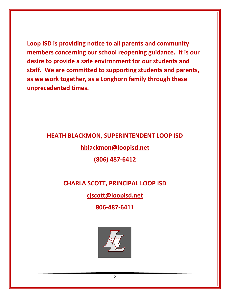**Loop ISD is providing notice to all parents and community members concerning our school reopening guidance. It is our desire to provide a safe environment for our students and staff. We are committed to supporting students and parents, as we work together, as a Longhorn family through these unprecedented times.**

#### **HEATH BLACKMON, SUPERINTENDENT LOOP ISD**

**[hblackmon@loopisd.net](mailto:hblackmon@loopisd.net)**

**(806) 487-6412**

## **CHARLA SCOTT, PRINCIPAL LOOP ISD**

#### **[cjscott@loopisd.net](mailto:cjscott@loopisd.net)**

**806-487-6411**

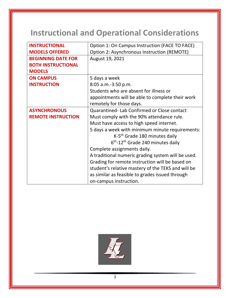# **Instructional and Operational Considerations**

| <b>INSTRUCTIONAL</b>      | Option 1: On Campus Instruction (FACE TO FACE)     |
|---------------------------|----------------------------------------------------|
| <b>MODELS OFFERED</b>     | Option 2: Asynchronous Instruction (REMOTE)        |
| <b>BEGINNING DATE FOR</b> | August 19, 2021                                    |
| <b>BOTH INSTRUCTIONAL</b> |                                                    |
| <b>MODELS</b>             |                                                    |
| <b>ON CAMPUS</b>          | 5 days a week                                      |
| <b>INSTRUCTION</b>        | 8:05 a.m.-3:50 p.m.                                |
|                           | Students who are absent for illness or             |
|                           | appointments will be able to complete their work   |
|                           | remotely for those days.                           |
| <b>ASYNCHRONOUS</b>       | Quarantined-Lab Confirmed or Close contact         |
| <b>REMOTE INSTRUCTION</b> | Must comply with the 90% attendance rule.          |
|                           | Must have access to high speed internet.           |
|                           | 5 days a week with minimum minute requirements:    |
|                           | K-5 <sup>th</sup> Grade 180 minutes daily          |
|                           | $6th$ -12 <sup>th</sup> Grade 240 minutes daily    |
|                           | Complete assignments daily.                        |
|                           | A traditional numeric grading system will be used. |
|                           | Grading for remote instruction will be based on    |
|                           | student's relative mastery of the TEKS and will be |
|                           | as similar as feasible to grades issued through    |
|                           | on-campus instruction.                             |

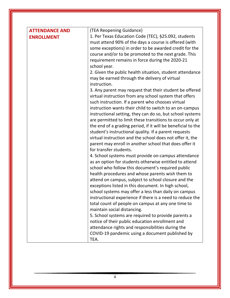| <b>ATTENDANCE AND</b> | (TEA Reopening Guidance)                                                                                    |
|-----------------------|-------------------------------------------------------------------------------------------------------------|
| <b>ENROLLMENT</b>     | 1. Per Texas Education Code (TEC), §25.092, students                                                        |
|                       | must attend 90% of the days a course is offered (with                                                       |
|                       | some exceptions) in order to be awarded credit for the                                                      |
|                       | course and/or to be promoted to the next grade. This                                                        |
|                       | requirement remains in force during the 2020-21                                                             |
|                       | school year.                                                                                                |
|                       | 2. Given the public health situation, student attendance                                                    |
|                       | may be earned through the delivery of virtual                                                               |
|                       | instruction.                                                                                                |
|                       | 3. Any parent may request that their student be offered                                                     |
|                       | virtual instruction from any school system that offers                                                      |
|                       | such instruction. If a parent who chooses virtual                                                           |
|                       | instruction wants their child to switch to an on-campus                                                     |
|                       | instructional setting, they can do so, but school systems                                                   |
|                       | are permitted to limit these transitions to occur only at                                                   |
|                       | the end of a grading period, if it will be beneficial to the                                                |
|                       | student's instructional quality. If a parent requests                                                       |
|                       | virtual instruction and the school does not offer it, the                                                   |
|                       | parent may enroll in another school that does offer it                                                      |
|                       | for transfer students.                                                                                      |
|                       | 4. School systems must provide on-campus attendance                                                         |
|                       | as an option for students otherwise entitled to attend                                                      |
|                       | school who follow this document's required public                                                           |
|                       | health procedures and whose parents wish them to                                                            |
|                       | attend on campus, subject to school closure and the                                                         |
|                       | exceptions listed in this document. In high school,<br>school systems may offer a less than daily on campus |
|                       | instructional experience if there is a need to reduce the                                                   |
|                       | total count of people on campus at any one time to                                                          |
|                       | maintain social distancing.                                                                                 |
|                       | 5. School systems are required to provide parents a                                                         |
|                       | notice of their public education enrollment and                                                             |
|                       | attendance rights and responsibilities during the                                                           |
|                       | COVID-19 pandemic using a document published by                                                             |
|                       | TEA.                                                                                                        |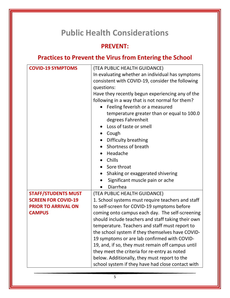# **Public Health Considerations**

#### **PREVENT:**

# **Practices to Prevent the Virus from Entering the School**

| <b>COVID-19 SYMPTOMS</b>   | (TEA PUBLIC HEALTH GUIDANCE)                       |  |
|----------------------------|----------------------------------------------------|--|
|                            | In evaluating whether an individual has symptoms   |  |
|                            | consistent with COVID-19, consider the following   |  |
|                            | questions:                                         |  |
|                            | Have they recently begun experiencing any of the   |  |
|                            | following in a way that is not normal for them?    |  |
|                            | • Feeling feverish or a measured                   |  |
|                            | temperature greater than or equal to 100.0         |  |
|                            |                                                    |  |
|                            | degrees Fahrenheit                                 |  |
|                            | Loss of taste or smell                             |  |
|                            | Cough                                              |  |
|                            | Difficulty breathing                               |  |
|                            | Shortness of breath                                |  |
|                            | Headache                                           |  |
|                            | Chills                                             |  |
|                            | Sore throat                                        |  |
|                            | Shaking or exaggerated shivering                   |  |
|                            | Significant muscle pain or ache                    |  |
|                            | Diarrhea                                           |  |
| <b>STAFF/STUDENTS MUST</b> | (TEA PUBLIC HEALTH GUIDANCE)                       |  |
| <b>SCREEN FOR COVID-19</b> | 1. School systems must require teachers and staff  |  |
| <b>PRIOR TO ARRIVAL ON</b> | to self-screen for COVID-19 symptoms before        |  |
| <b>CAMPUS</b>              | coming onto campus each day. The self-screening    |  |
|                            | should include teachers and staff taking their own |  |
|                            | temperature. Teachers and staff must report to     |  |
|                            | the school system if they themselves have COVID-   |  |
|                            | 19 symptoms or are lab confirmed with COVID-       |  |
|                            | 19, and, if so, they must remain off campus until  |  |
|                            | they meet the criteria for re-entry as noted       |  |
|                            | below. Additionally, they must report to the       |  |
|                            | school system if they have had close contact with  |  |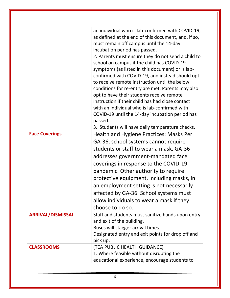| <b>Face Coverings</b>    | an individual who is lab-confirmed with COVID-19,<br>as defined at the end of this document, and, if so,<br>must remain off campus until the 14-day<br>incubation period has passed.<br>2. Parents must ensure they do not send a child to<br>school on campus if the child has COVID-19<br>symptoms (as listed in this document) or is lab-<br>confirmed with COVID-19, and instead should opt<br>to receive remote instruction until the below<br>conditions for re-entry are met. Parents may also<br>opt to have their students receive remote<br>instruction if their child has had close contact<br>with an individual who is lab-confirmed with<br>COVID-19 until the 14-day incubation period has<br>passed.<br>3. Students will have daily temperature checks.<br>Health and Hygiene Practices: Masks Per<br>GA-36, school systems cannot require<br>students or staff to wear a mask. GA-36<br>addresses government-mandated face<br>coverings in response to the COVID-19<br>pandemic. Other authority to require<br>protective equipment, including masks, in<br>an employment setting is not necessarily<br>affected by GA-36. School systems must<br>allow individuals to wear a mask if they |
|--------------------------|-------------------------------------------------------------------------------------------------------------------------------------------------------------------------------------------------------------------------------------------------------------------------------------------------------------------------------------------------------------------------------------------------------------------------------------------------------------------------------------------------------------------------------------------------------------------------------------------------------------------------------------------------------------------------------------------------------------------------------------------------------------------------------------------------------------------------------------------------------------------------------------------------------------------------------------------------------------------------------------------------------------------------------------------------------------------------------------------------------------------------------------------------------------------------------------------------------------|
| <b>ARRIVAL/DISMISSAL</b> | choose to do so.<br>Staff and students must sanitize hands upon entry                                                                                                                                                                                                                                                                                                                                                                                                                                                                                                                                                                                                                                                                                                                                                                                                                                                                                                                                                                                                                                                                                                                                       |
|                          | and exit of the building.                                                                                                                                                                                                                                                                                                                                                                                                                                                                                                                                                                                                                                                                                                                                                                                                                                                                                                                                                                                                                                                                                                                                                                                   |
|                          | Buses will stagger arrival times.                                                                                                                                                                                                                                                                                                                                                                                                                                                                                                                                                                                                                                                                                                                                                                                                                                                                                                                                                                                                                                                                                                                                                                           |
|                          | Designated entry and exit points for drop off and<br>pick up.                                                                                                                                                                                                                                                                                                                                                                                                                                                                                                                                                                                                                                                                                                                                                                                                                                                                                                                                                                                                                                                                                                                                               |
| <b>CLASSROOMS</b>        | (TEA PUBLIC HEALTH GUIDANCE)                                                                                                                                                                                                                                                                                                                                                                                                                                                                                                                                                                                                                                                                                                                                                                                                                                                                                                                                                                                                                                                                                                                                                                                |
|                          | 1. Where feasible without disrupting the                                                                                                                                                                                                                                                                                                                                                                                                                                                                                                                                                                                                                                                                                                                                                                                                                                                                                                                                                                                                                                                                                                                                                                    |
|                          | educational experience, encourage students to                                                                                                                                                                                                                                                                                                                                                                                                                                                                                                                                                                                                                                                                                                                                                                                                                                                                                                                                                                                                                                                                                                                                                               |
|                          |                                                                                                                                                                                                                                                                                                                                                                                                                                                                                                                                                                                                                                                                                                                                                                                                                                                                                                                                                                                                                                                                                                                                                                                                             |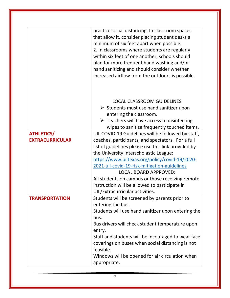|                        | practice social distancing. In classroom spaces<br>that allow it, consider placing student desks a<br>minimum of six feet apart when possible.<br>2. In classrooms where students are regularly<br>within six feet of one another, schools should<br>plan for more frequent hand washing and/or<br>hand sanitizing and should consider whether |
|------------------------|------------------------------------------------------------------------------------------------------------------------------------------------------------------------------------------------------------------------------------------------------------------------------------------------------------------------------------------------|
|                        | increased airflow from the outdoors is possible.                                                                                                                                                                                                                                                                                               |
|                        | <b>LOCAL CLASSROOM GUIDELINES</b><br>$\triangleright$ Students must use hand sanitizer upon<br>entering the classroom.<br>$\triangleright$ Teachers will have access to disinfecting<br>wipes to sanitize frequently touched items.                                                                                                            |
| <b>ATHLETICS/</b>      | UIL COVID-19 Guidelines will be followed by staff,                                                                                                                                                                                                                                                                                             |
| <b>EXTRACURRICULAR</b> | coaches, participants, and spectators. For a full                                                                                                                                                                                                                                                                                              |
|                        | list of guidelines please use this link provided by                                                                                                                                                                                                                                                                                            |
|                        | the University Interscholastic League:                                                                                                                                                                                                                                                                                                         |
|                        | https://www.uiltexas.org/policy/covid-19/2020-                                                                                                                                                                                                                                                                                                 |
|                        | 2021-uil-covid-19-risk-mitigation-guidelines                                                                                                                                                                                                                                                                                                   |
|                        | <b>LOCAL BOARD APPROVED:</b>                                                                                                                                                                                                                                                                                                                   |
|                        | All students on campus or those receiving remote                                                                                                                                                                                                                                                                                               |
|                        | instruction will be allowed to participate in                                                                                                                                                                                                                                                                                                  |
|                        | UIL/Extracurricular activities.                                                                                                                                                                                                                                                                                                                |
| <b>TRANSPORTATION</b>  | Students will be screened by parents prior to                                                                                                                                                                                                                                                                                                  |
|                        | entering the bus.                                                                                                                                                                                                                                                                                                                              |
|                        | Students will use hand sanitizer upon entering the                                                                                                                                                                                                                                                                                             |
|                        | bus.                                                                                                                                                                                                                                                                                                                                           |
|                        | Bus drivers will check student temperature upon                                                                                                                                                                                                                                                                                                |
|                        | entry.                                                                                                                                                                                                                                                                                                                                         |
|                        | Staff and students will be incouraged to wear face                                                                                                                                                                                                                                                                                             |
|                        | coverings on buses when social distancing is not<br>feasible.                                                                                                                                                                                                                                                                                  |
|                        | Windows will be opened for air circulation when<br>appropriate.                                                                                                                                                                                                                                                                                |

7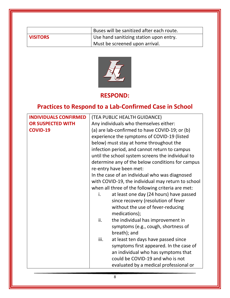|                 | Buses will be sanitized after each route. |
|-----------------|-------------------------------------------|
| <b>VISITORS</b> | Use hand sanitizing station upon entry.   |
|                 | Must be screened upon arrival.            |



#### **RESPOND:**

# **Practices to Respond to a Lab-Confirmed Case in School**

| <b>INDIVIDUALS CONFIRMED</b> | (TEA PUBLIC HEALTH GUIDANCE)                       |  |
|------------------------------|----------------------------------------------------|--|
| OR SUSPECTED WITH            | Any individuals who themselves either:             |  |
| <b>COVID-19</b>              | (a) are lab-confirmed to have COVID-19; or (b)     |  |
|                              | experience the symptoms of COVID-19 (listed        |  |
|                              | below) must stay at home throughout the            |  |
|                              | infection period, and cannot return to campus      |  |
|                              | until the school system screens the individual to  |  |
|                              | determine any of the below conditions for campus   |  |
|                              | re-entry have been met:                            |  |
|                              | In the case of an individual who was diagnosed     |  |
|                              | with COVID-19, the individual may return to school |  |
|                              | when all three of the following criteria are met:  |  |
|                              | at least one day (24 hours) have passed<br>i.      |  |
|                              | since recovery (resolution of fever                |  |
|                              | without the use of fever-reducing                  |  |
|                              | medications);                                      |  |
|                              | the individual has improvement in<br>ii.           |  |
|                              | symptoms (e.g., cough, shortness of                |  |
|                              | breath); and                                       |  |
|                              | iii.<br>at least ten days have passed since        |  |
|                              | symptoms first appeared. In the case of            |  |
|                              | an individual who has symptoms that                |  |
|                              | could be COVID-19 and who is not                   |  |
|                              | evaluated by a medical professional or             |  |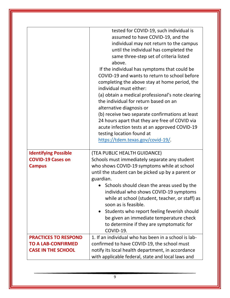|                                                        | tested for COVID-19, such individual is<br>assumed to have COVID-19, and the<br>individual may not return to the campus<br>until the individual has completed the<br>same three-step set of criteria listed<br>above.<br>If the individual has symptoms that could be<br>COVID-19 and wants to return to school before<br>completing the above stay at home period, the<br>individual must either:<br>(a) obtain a medical professional's note clearing<br>the individual for return based on an<br>alternative diagnosis or<br>(b) receive two separate confirmations at least<br>24 hours apart that they are free of COVID via<br>acute infection tests at an approved COVID-19<br>testing location found at<br>https://tdem.texas.gov/covid-19/. |
|--------------------------------------------------------|------------------------------------------------------------------------------------------------------------------------------------------------------------------------------------------------------------------------------------------------------------------------------------------------------------------------------------------------------------------------------------------------------------------------------------------------------------------------------------------------------------------------------------------------------------------------------------------------------------------------------------------------------------------------------------------------------------------------------------------------------|
|                                                        |                                                                                                                                                                                                                                                                                                                                                                                                                                                                                                                                                                                                                                                                                                                                                      |
| <b>Identifying Possible</b>                            | (TEA PUBLIC HEALTH GUIDANCE)                                                                                                                                                                                                                                                                                                                                                                                                                                                                                                                                                                                                                                                                                                                         |
| <b>COVID-19 Cases on</b>                               | Schools must immediately separate any student                                                                                                                                                                                                                                                                                                                                                                                                                                                                                                                                                                                                                                                                                                        |
| <b>Campus</b>                                          | who shows COVID-19 symptoms while at school                                                                                                                                                                                                                                                                                                                                                                                                                                                                                                                                                                                                                                                                                                          |
|                                                        | until the student can be picked up by a parent or                                                                                                                                                                                                                                                                                                                                                                                                                                                                                                                                                                                                                                                                                                    |
|                                                        | guardian.                                                                                                                                                                                                                                                                                                                                                                                                                                                                                                                                                                                                                                                                                                                                            |
|                                                        | Schools should clean the areas used by the<br>individual who shows COVID-19 symptoms<br>while at school (student, teacher, or staff) as<br>soon as is feasible.<br>Students who report feeling feverish should<br>$\bullet$<br>be given an immediate temperature check<br>to determine if they are symptomatic for                                                                                                                                                                                                                                                                                                                                                                                                                                   |
|                                                        | COVID-19.                                                                                                                                                                                                                                                                                                                                                                                                                                                                                                                                                                                                                                                                                                                                            |
| <b>PRACTICES TO RESPOND</b>                            | 1. If an individual who has been in a school is lab-                                                                                                                                                                                                                                                                                                                                                                                                                                                                                                                                                                                                                                                                                                 |
| <b>TO A LAB-CONFIRMED</b><br><b>CASE IN THE SCHOOL</b> | confirmed to have COVID-19, the school must<br>notify its local health department, in accordance                                                                                                                                                                                                                                                                                                                                                                                                                                                                                                                                                                                                                                                     |
|                                                        | with applicable federal, state and local laws and                                                                                                                                                                                                                                                                                                                                                                                                                                                                                                                                                                                                                                                                                                    |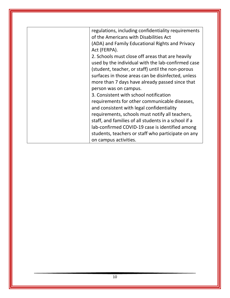| regulations, including confidentiality requirements<br>of the Americans with Disabilities Act |
|-----------------------------------------------------------------------------------------------|
|                                                                                               |
| (ADA) and Family Educational Rights and Privacy                                               |
| Act (FERPA).                                                                                  |
| 2. Schools must close off areas that are heavily                                              |
| used by the individual with the lab-confirmed case                                            |
| (student, teacher, or staff) until the non-porous                                             |
| surfaces in those areas can be disinfected, unless                                            |
| more than 7 days have already passed since that                                               |
| person was on campus.                                                                         |
| 3. Consistent with school notification                                                        |
| requirements for other communicable diseases,                                                 |
| and consistent with legal confidentiality                                                     |
| requirements, schools must notify all teachers,                                               |
| staff, and families of all students in a school if a                                          |
| lab-confirmed COVID-19 case is identified among                                               |
| students, teachers or staff who participate on any                                            |
| on campus activities.                                                                         |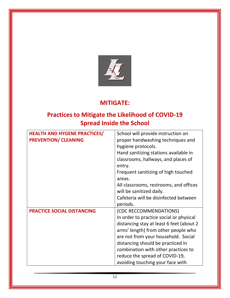

## **MITIGATE:**

# **Practices to Mitigate the Likelihood of COVID-19 Spread Inside the School**

| <b>HEALTH AND HYGENE PRACTICES/</b> | School will provide instruction on        |
|-------------------------------------|-------------------------------------------|
| <b>PREVENTION/ CLEANING</b>         | proper handwashing techniques and         |
|                                     | hygiene protocols.                        |
|                                     | Hand sanitizing stations available in     |
|                                     | classrooms, hallways, and places of       |
|                                     | entry.                                    |
|                                     | Frequent sanitizing of high touched       |
|                                     | areas.                                    |
|                                     | All classrooms, restrooms, and offices    |
|                                     | will be sanitized daily.                  |
|                                     | Cafeteria will be disinfected between     |
|                                     | periods.                                  |
| <b>PRACTICE SOCIAL DISTANCING</b>   | (CDC RECCOMMENDATIONS)                    |
|                                     | In order to practice social or physical   |
|                                     | distancing stay at least 6 feet (about 2) |
|                                     | arms' length) from other people who       |
|                                     | are not from your household. Social       |
|                                     | distancing should be practiced in         |
|                                     | combination with other practices to       |
|                                     | reduce the spread of COVID-19,            |
|                                     | avoiding touching your face with          |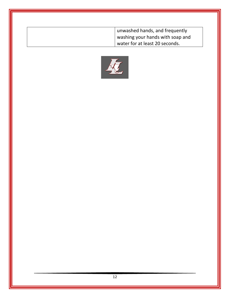| unwashed hands, and frequently<br>washing your hands with soap and |
|--------------------------------------------------------------------|
| water for at least 20 seconds.                                     |